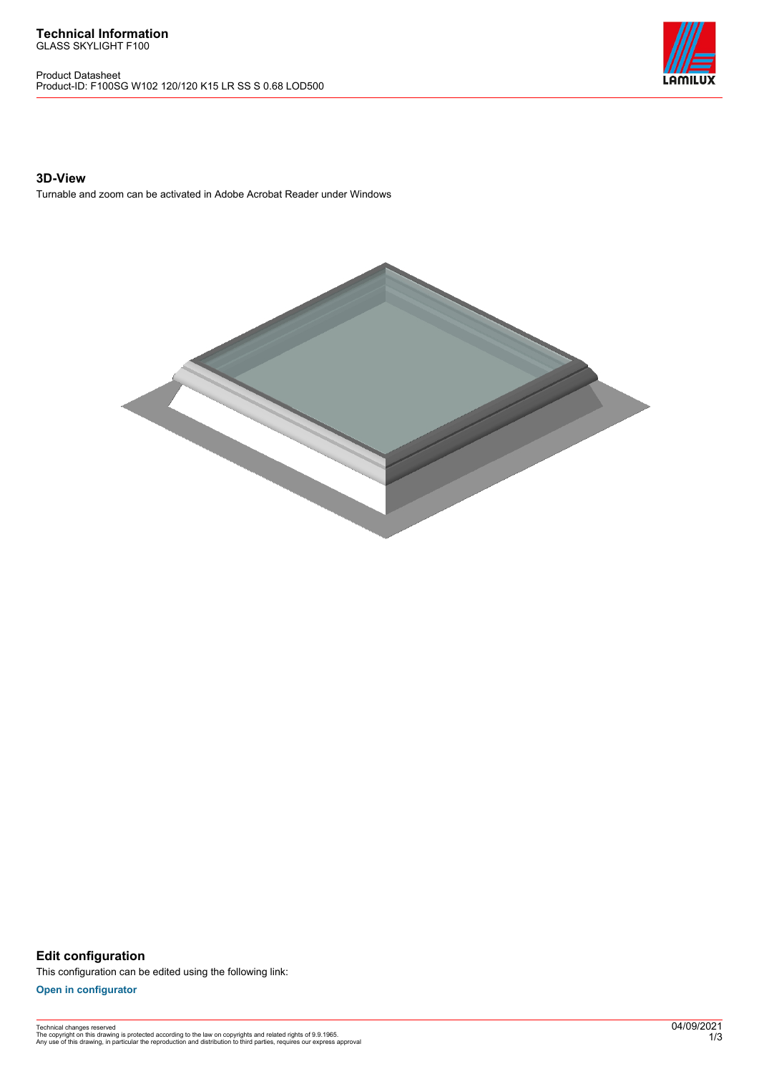Product Datasheet Product-ID: F100SG W102 120/120 K15 LR SS S 0.68 LOD500



## **3D-View**

Turnable and zoom can be activated in Adobe Acrobat Reader under Windows



**Edit configuration** This configuration can be edited using the following link:

**[Open in configurator](https://bimconfig.lamilux.com//?quickcode=CXQHXH)**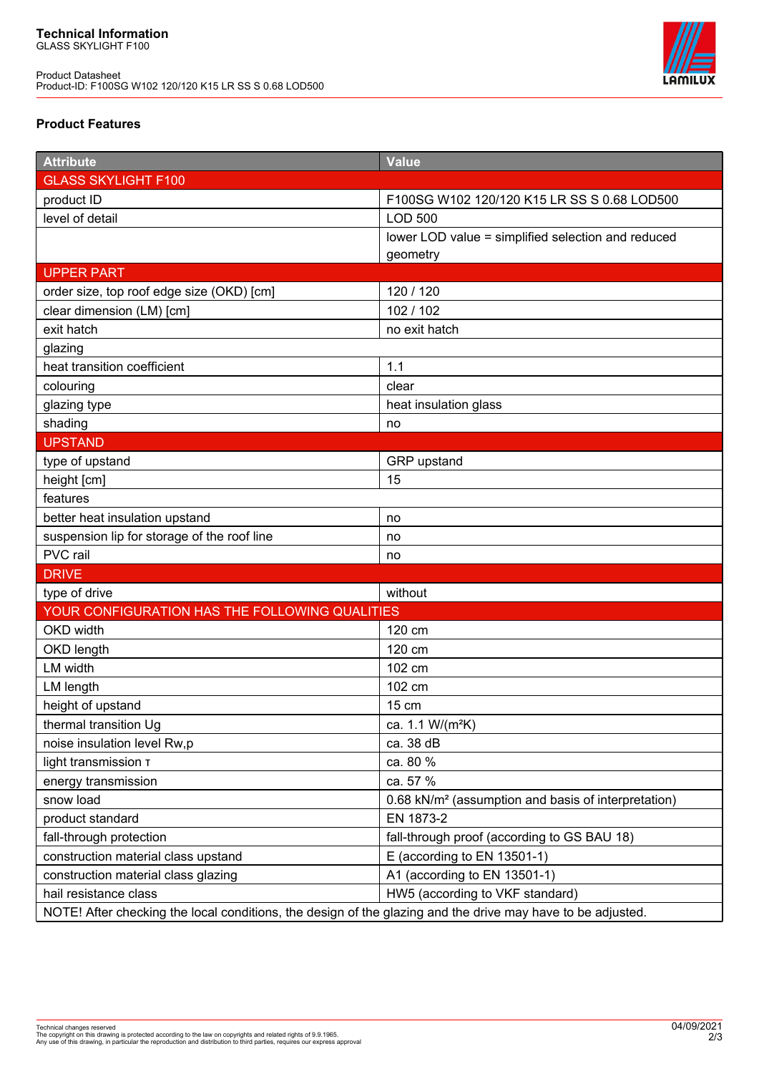Product Datasheet Product-ID: F100SG W102 120/120 K15 LR SS S 0.68 LOD500



## **Product Features**

| <b>Attribute</b>                                                                                            | <b>Value</b>                                                    |
|-------------------------------------------------------------------------------------------------------------|-----------------------------------------------------------------|
| <b>GLASS SKYLIGHT F100</b>                                                                                  |                                                                 |
| product ID                                                                                                  | F100SG W102 120/120 K15 LR SS S 0.68 LOD500                     |
| level of detail                                                                                             | <b>LOD 500</b>                                                  |
|                                                                                                             | lower LOD value = simplified selection and reduced              |
|                                                                                                             | geometry                                                        |
| <b>UPPER PART</b>                                                                                           |                                                                 |
| order size, top roof edge size (OKD) [cm]                                                                   | 120 / 120                                                       |
| clear dimension (LM) [cm]                                                                                   | 102 / 102                                                       |
| exit hatch                                                                                                  | no exit hatch                                                   |
| glazing                                                                                                     |                                                                 |
| heat transition coefficient                                                                                 | 1.1                                                             |
| colouring                                                                                                   | clear                                                           |
| glazing type                                                                                                | heat insulation glass                                           |
| shading                                                                                                     | no                                                              |
| <b>UPSTAND</b>                                                                                              |                                                                 |
| type of upstand                                                                                             | GRP upstand                                                     |
| height [cm]                                                                                                 | 15                                                              |
| features                                                                                                    |                                                                 |
| better heat insulation upstand                                                                              | no                                                              |
| suspension lip for storage of the roof line                                                                 | no                                                              |
| PVC rail                                                                                                    | no                                                              |
| <b>DRIVE</b>                                                                                                |                                                                 |
| type of drive                                                                                               | without                                                         |
| YOUR CONFIGURATION HAS THE FOLLOWING QUALITIES                                                              |                                                                 |
| OKD width                                                                                                   | 120 cm                                                          |
| OKD length                                                                                                  | 120 cm                                                          |
| LM width                                                                                                    | 102 cm                                                          |
| LM length                                                                                                   | 102 cm                                                          |
| height of upstand                                                                                           | 15 cm                                                           |
| thermal transition Ug                                                                                       | ca. 1.1 W/(m <sup>2</sup> K)                                    |
| noise insulation level Rw,p                                                                                 | ca. 38 dB                                                       |
| light transmission T                                                                                        | ca. 80 %                                                        |
| energy transmission                                                                                         | ca. 57 %                                                        |
| snow load                                                                                                   | 0.68 kN/m <sup>2</sup> (assumption and basis of interpretation) |
| product standard                                                                                            | EN 1873-2                                                       |
| fall-through protection                                                                                     | fall-through proof (according to GS BAU 18)                     |
| construction material class upstand                                                                         | E (according to EN 13501-1)                                     |
| construction material class glazing                                                                         | A1 (according to EN 13501-1)                                    |
| hail resistance class                                                                                       | HW5 (according to VKF standard)                                 |
| NOTE! After checking the local conditions, the design of the glazing and the drive may have to be adjusted. |                                                                 |